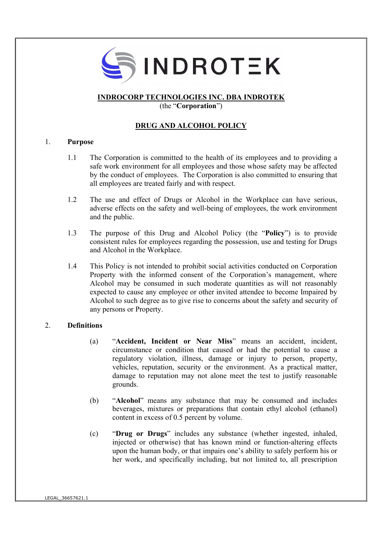

# INDROCORP TECHNOLOGIES INC. DBA INDROTEK

(the "Corporation")

# DRUG AND ALCOHOL POLICY

#### 1. Purpose

- 1.1 The Corporation is committed to the health of its employees and to providing a safe work environment for all employees and those whose safety may be affected by the conduct of employees. The Corporation is also committed to ensuring that all employees are treated fairly and with respect.
- 1.2 The use and effect of Drugs or Alcohol in the Workplace can have serious, adverse effects on the safety and well-being of employees, the work environment and the public.
- 1.3 The purpose of this Drug and Alcohol Policy (the "Policy") is to provide consistent rules for employees regarding the possession, use and testing for Drugs and Alcohol in the Workplace.
- 1.4 This Policy is not intended to prohibit social activities conducted on Corporation Property with the informed consent of the Corporation's management, where Alcohol may be consumed in such moderate quantities as will not reasonably expected to cause any employee or other invited attendee to become Impaired by Alcohol to such degree as to give rise to concerns about the safety and security of any persons or Property.

### 2. Definitions

- (a) "Accident, Incident or Near Miss" means an accident, incident, circumstance or condition that caused or had the potential to cause a regulatory violation, illness, damage or injury to person, property, vehicles, reputation, security or the environment. As a practical matter, damage to reputation may not alone meet the test to justify reasonable grounds.
- (b) "Alcohol" means any substance that may be consumed and includes beverages, mixtures or preparations that contain ethyl alcohol (ethanol) content in excess of 0.5 percent by volume.
- (c) "Drug or Drugs" includes any substance (whether ingested, inhaled, injected or otherwise) that has known mind or function-altering effects upon the human body, or that impairs one's ability to safely perform his or her work, and specifically including, but not limited to, all prescription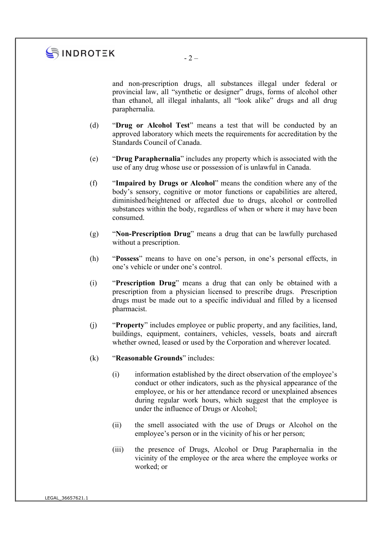

 $-2-$ 

and non-prescription drugs, all substances illegal under federal or provincial law, all "synthetic or designer" drugs, forms of alcohol other than ethanol, all illegal inhalants, all "look alike" drugs and all drug paraphernalia.

- (d) "Drug or Alcohol Test" means a test that will be conducted by an approved laboratory which meets the requirements for accreditation by the Standards Council of Canada.
- (e) "Drug Paraphernalia" includes any property which is associated with the use of any drug whose use or possession of is unlawful in Canada.
- (f) "Impaired by Drugs or Alcohol" means the condition where any of the body's sensory, cognitive or motor functions or capabilities are altered, diminished/heightened or affected due to drugs, alcohol or controlled substances within the body, regardless of when or where it may have been consumed.
- (g) "Non-Prescription Drug" means a drug that can be lawfully purchased without a prescription.
- (h) "Possess" means to have on one's person, in one's personal effects, in one's vehicle or under one's control.
- (i) "Prescription Drug" means a drug that can only be obtained with a prescription from a physician licensed to prescribe drugs. Prescription drugs must be made out to a specific individual and filled by a licensed pharmacist.
- (j) "Property" includes employee or public property, and any facilities, land, buildings, equipment, containers, vehicles, vessels, boats and aircraft whether owned, leased or used by the Corporation and wherever located.
- (k) "Reasonable Grounds" includes:
	- (i) information established by the direct observation of the employee's conduct or other indicators, such as the physical appearance of the employee, or his or her attendance record or unexplained absences during regular work hours, which suggest that the employee is under the influence of Drugs or Alcohol;
	- (ii) the smell associated with the use of Drugs or Alcohol on the employee's person or in the vicinity of his or her person;
	- (iii) the presence of Drugs, Alcohol or Drug Paraphernalia in the vicinity of the employee or the area where the employee works or worked; or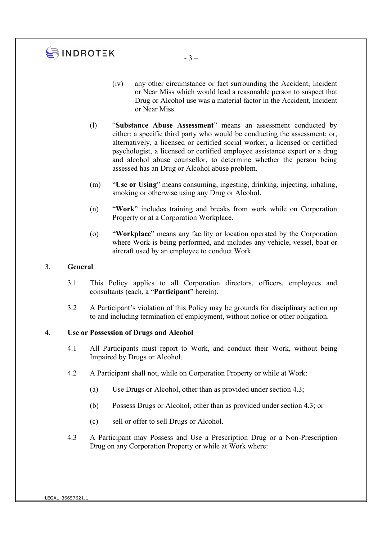# SINDROTEK

- (iv) any other circumstance or fact surrounding the Accident, Incident or Near Miss which would lead a reasonable person to suspect that Drug or Alcohol use was a material factor in the Accident, Incident or Near Miss.
- (l) "Substance Abuse Assessment" means an assessment conducted by either: a specific third party who would be conducting the assessment; or, alternatively, a licensed or certified social worker, a licensed or certified psychologist, a licensed or certified employee assistance expert or a drug and alcohol abuse counsellor, to determine whether the person being assessed has an Drug or Alcohol abuse problem.
- (m) "Use or Using" means consuming, ingesting, drinking, injecting, inhaling, smoking or otherwise using any Drug or Alcohol.
- (n) "Work" includes training and breaks from work while on Corporation Property or at a Corporation Workplace.
- (o) "Workplace" means any facility or location operated by the Corporation where Work is being performed, and includes any vehicle, vessel, boat or aircraft used by an employee to conduct Work.

#### 3. General

- 3.1 This Policy applies to all Corporation directors, officers, employees and consultants (each, a "Participant" herein).
- 3.2 A Participant's violation of this Policy may be grounds for disciplinary action up to and including termination of employment, without notice or other obligation.

### 4. Use or Possession of Drugs and Alcohol

- 4.1 All Participants must report to Work, and conduct their Work, without being Impaired by Drugs or Alcohol.
- 4.2 A Participant shall not, while on Corporation Property or while at Work:
	- (a) Use Drugs or Alcohol, other than as provided under section 4.3;
	- (b) Possess Drugs or Alcohol, other than as provided under section 4.3; or
	- (c) sell or offer to sell Drugs or Alcohol.
- 4.3 A Participant may Possess and Use a Prescription Drug or a Non-Prescription Drug on any Corporation Property or while at Work where: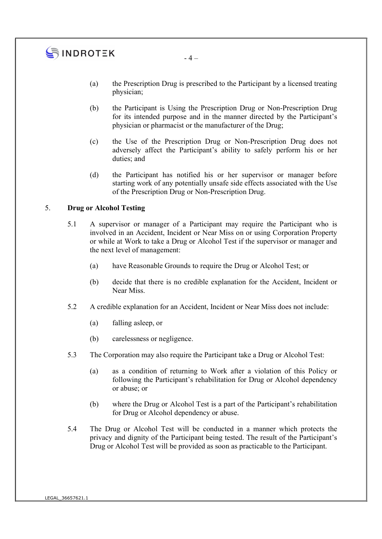# $\mathbf{S}$  INDROTEK

- (a) the Prescription Drug is prescribed to the Participant by a licensed treating physician;
- (b) the Participant is Using the Prescription Drug or Non-Prescription Drug for its intended purpose and in the manner directed by the Participant's physician or pharmacist or the manufacturer of the Drug;
- (c) the Use of the Prescription Drug or Non-Prescription Drug does not adversely affect the Participant's ability to safely perform his or her duties; and
- (d) the Participant has notified his or her supervisor or manager before starting work of any potentially unsafe side effects associated with the Use of the Prescription Drug or Non-Prescription Drug.

## 5. Drug or Alcohol Testing

- 5.1 A supervisor or manager of a Participant may require the Participant who is involved in an Accident, Incident or Near Miss on or using Corporation Property or while at Work to take a Drug or Alcohol Test if the supervisor or manager and the next level of management:
	- (a) have Reasonable Grounds to require the Drug or Alcohol Test; or
	- (b) decide that there is no credible explanation for the Accident, Incident or Near Miss.
- 5.2 A credible explanation for an Accident, Incident or Near Miss does not include:
	- (a) falling asleep, or
	- (b) carelessness or negligence.
- 5.3 The Corporation may also require the Participant take a Drug or Alcohol Test:
	- (a) as a condition of returning to Work after a violation of this Policy or following the Participant's rehabilitation for Drug or Alcohol dependency or abuse; or
	- (b) where the Drug or Alcohol Test is a part of the Participant's rehabilitation for Drug or Alcohol dependency or abuse.
- 5.4 The Drug or Alcohol Test will be conducted in a manner which protects the privacy and dignity of the Participant being tested. The result of the Participant's Drug or Alcohol Test will be provided as soon as practicable to the Participant.